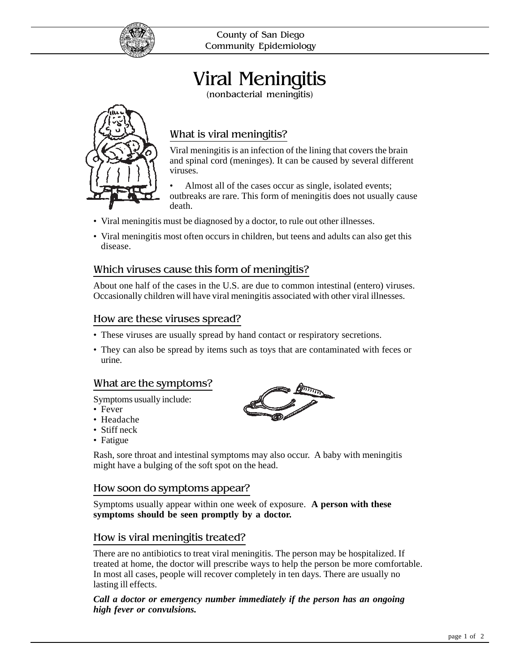

County of San Diego Community Epidemiology

# Viral Meningitis

(nonbacterial meningitis)



# What is viral meningitis?

Viral meningitis is an infection of the lining that covers the brain and spinal cord (meninges). It can be caused by several different viruses.

Almost all of the cases occur as single, isolated events; outbreaks are rare. This form of meningitis does not usually cause death.

- Viral meningitis must be diagnosed by a doctor, to rule out other illnesses.
- Viral meningitis most often occurs in children, but teens and adults can also get this disease.

# Which viruses cause this form of meningitis?

About one half of the cases in the U.S. are due to common intestinal (entero) viruses. Occasionally children will have viral meningitis associated with other viral illnesses.

## How are these viruses spread?

- These viruses are usually spread by hand contact or respiratory secretions.
- They can also be spread by items such as toys that are contaminated with feces or urine.

## What are the symptoms?

Symptoms usually include:

- Fever
- Headache
- Stiff neck
- Fatigue

Rash, sore throat and intestinal symptoms may also occur. A baby with meningitis might have a bulging of the soft spot on the head.

## How soon do symptoms appear?

Symptoms usually appear within one week of exposure. **A person with these symptoms should be seen promptly by a doctor.**

## How is viral meningitis treated?

There are no antibiotics to treat viral meningitis. The person may be hospitalized. If treated at home, the doctor will prescribe ways to help the person be more comfortable. In most all cases, people will recover completely in ten days. There are usually no lasting ill effects.

#### *Call a doctor or emergency number immediately if the person has an ongoing high fever or convulsions.*